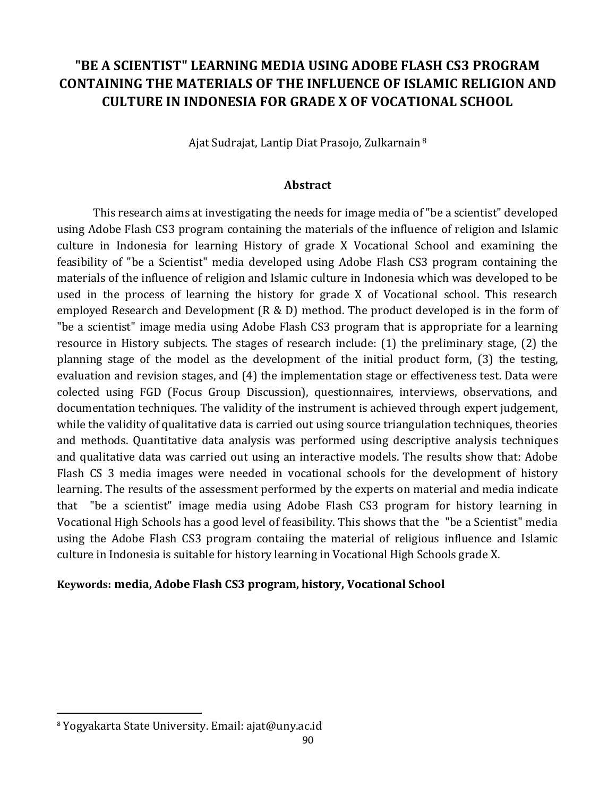# **"BE A SCIENTIST" LEARNING MEDIA USING ADOBE FLASH CS3 PROGRAM CONTAINING THE MATERIALS OF THE INFLUENCE OF ISLAMIC RELIGION AND CULTURE IN INDONESIA FOR GRADE X OF VOCATIONAL SCHOOL**

Ajat Sudrajat, Lantip Diat Prasojo, Zulkarnain <sup>8</sup>

#### **Abstract**

This research aims at investigating the needs for image media of "be a scientist" developed using Adobe Flash CS3 program containing the materials of the influence of religion and Islamic culture in Indonesia for learning History of grade X Vocational School and examining the feasibility of "be a Scientist" media developed using Adobe Flash CS3 program containing the materials of the influence of religion and Islamic culture in Indonesia which was developed to be used in the process of learning the history for grade X of Vocational school. This research employed Research and Development (R & D) method. The product developed is in the form of "be a scientist" image media using Adobe Flash CS3 program that is appropriate for a learning resource in History subjects. The stages of research include: (1) the preliminary stage, (2) the planning stage of the model as the development of the initial product form, (3) the testing, evaluation and revision stages, and (4) the implementation stage or effectiveness test. Data were colected using FGD (Focus Group Discussion), questionnaires, interviews, observations, and documentation techniques. The validity of the instrument is achieved through expert judgement, while the validity of qualitative data is carried out using source triangulation techniques, theories and methods. Quantitative data analysis was performed using descriptive analysis techniques and qualitative data was carried out using an interactive models. The results show that: Adobe Flash CS 3 media images were needed in vocational schools for the development of history learning. The results of the assessment performed by the experts on material and media indicate that "be a scientist" image media using Adobe Flash CS3 program for history learning in Vocational High Schools has a good level of feasibility. This shows that the "be a Scientist" media using the Adobe Flash CS3 program contaiing the material of religious influence and Islamic culture in Indonesia is suitable for history learning in Vocational High Schools grade X.

#### **Keywords: media, Adobe Flash CS3 program, history, Vocational School**

 $\overline{a}$ 

<sup>8</sup> Yogyakarta State University. Email: ajat@uny.ac.id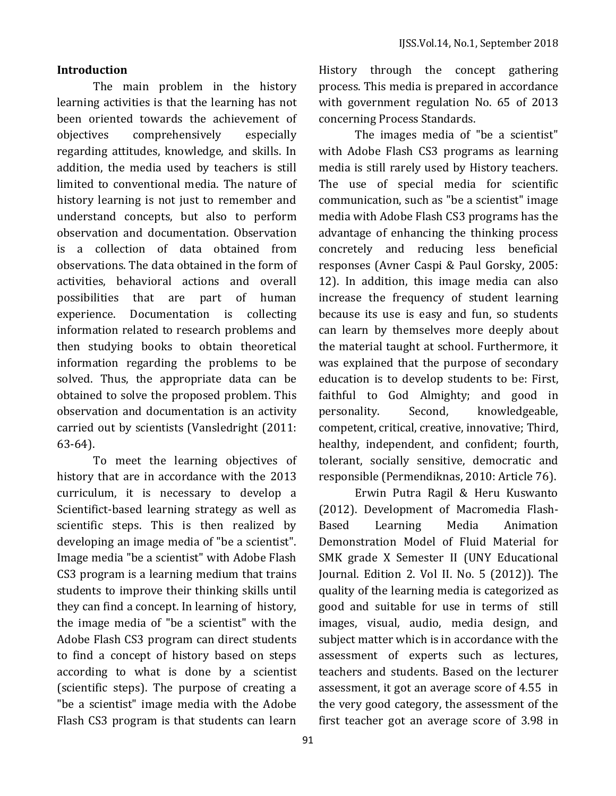#### **Introduction**

The main problem in the history learning activities is that the learning has not been oriented towards the achievement of objectives comprehensively especially regarding attitudes, knowledge, and skills. In addition, the media used by teachers is still limited to conventional media. The nature of history learning is not just to remember and understand concepts, but also to perform observation and documentation. Observation is a collection of data obtained from observations. The data obtained in the form of activities, behavioral actions and overall possibilities that are part of human experience. Documentation is collecting information related to research problems and then studying books to obtain theoretical information regarding the problems to be solved. Thus, the appropriate data can be obtained to solve the proposed problem. This observation and documentation is an activity carried out by scientists (Vansledright (2011: 63-64).

To meet the learning objectives of history that are in accordance with the 2013 curriculum, it is necessary to develop a Scientifict-based learning strategy as well as scientific steps. This is then realized by developing an image media of "be a scientist". Image media "be a scientist" with Adobe Flash CS3 program is a learning medium that trains students to improve their thinking skills until they can find a concept. In learning of history, the image media of "be a scientist" with the Adobe Flash CS3 program can direct students to find a concept of history based on steps according to what is done by a scientist (scientific steps). The purpose of creating a "be a scientist" image media with the Adobe Flash CS3 program is that students can learn

91

History through the concept gathering process. This media is prepared in accordance with government regulation No. 65 of 2013 concerning Process Standards.

The images media of "be a scientist" with Adobe Flash CS3 programs as learning media is still rarely used by History teachers. The use of special media for scientific communication, such as "be a scientist" image media with Adobe Flash CS3 programs has the advantage of enhancing the thinking process concretely and reducing less beneficial responses (Avner Caspi & Paul Gorsky, 2005: 12). In addition, this image media can also increase the frequency of student learning because its use is easy and fun, so students can learn by themselves more deeply about the material taught at school. Furthermore, it was explained that the purpose of secondary education is to develop students to be: First, faithful to God Almighty; and good in personality. Second, knowledgeable, competent, critical, creative, innovative; Third, healthy, independent, and confident; fourth, tolerant, socially sensitive, democratic and responsible (Permendiknas, 2010: Article 76).

Erwin Putra Ragil & Heru Kuswanto (2012). Development of Macromedia Flash-Based Learning Media Animation Demonstration Model of Fluid Material for SMK grade X Semester II (UNY Educational Journal. Edition 2. Vol II. No. 5 (2012)). The quality of the learning media is categorized as good and suitable for use in terms of still images, visual, audio, media design, and subject matter which is in accordance with the assessment of experts such as lectures, teachers and students. Based on the lecturer assessment, it got an average score of 4.55 in the very good category, the assessment of the first teacher got an average score of 3.98 in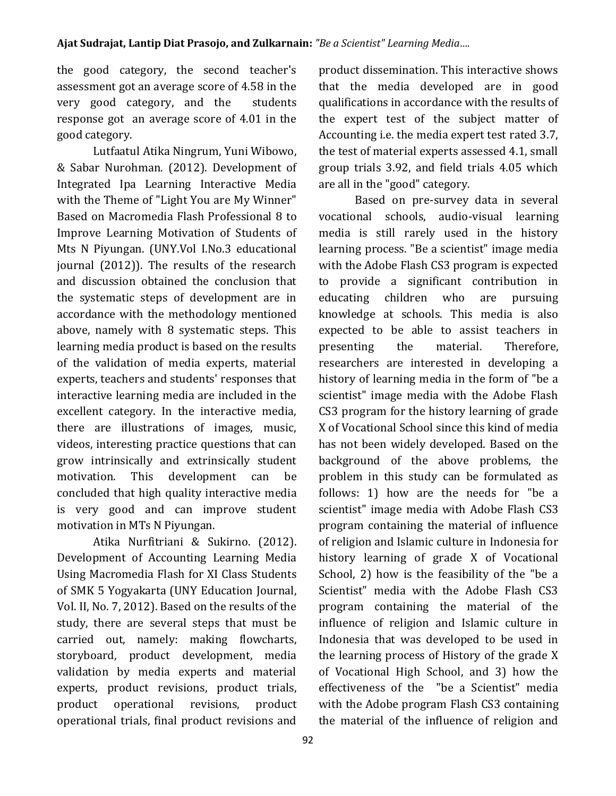the good category, the second teacher's assessment got an average score of 4.58 in the very good category, and the students response got an average score of 4.01 in the good category.

Lutfaatul Atika Ningrum, Yuni Wibowo, & Sabar Nurohman. (2012). Development of Integrated Ipa Learning Interactive Media with the Theme of "Light You are My Winner" Based on Macromedia Flash Professional 8 to Improve Learning Motivation of Students of Mts N Piyungan. (UNY.Vol I.No.3 educational journal (2012)). The results of the research and discussion obtained the conclusion that the systematic steps of development are in accordance with the methodology mentioned above, namely with 8 systematic steps. This learning media product is based on the results of the validation of media experts, material experts, teachers and students' responses that interactive learning media are included in the excellent category. In the interactive media, there are illustrations of images, music, videos, interesting practice questions that can grow intrinsically and extrinsically student motivation. This development can be concluded that high quality interactive media is very good and can improve student motivation in MTs N Piyungan.

Atika Nurfitriani & Sukirno. (2012). Development of Accounting Learning Media Using Macromedia Flash for XI Class Students of SMK 5 Yogyakarta (UNY Education Journal, Vol. II, No. 7, 2012). Based on the results of the study, there are several steps that must be carried out, namely: making flowcharts, storyboard, product development, media validation by media experts and material experts, product revisions, product trials, product operational revisions, product operational trials, final product revisions and product dissemination. This interactive shows that the media developed are in good qualifications in accordance with the results of the expert test of the subject matter of Accounting i.e. the media expert test rated 3.7, the test of material experts assessed 4.1, small group trials 3.92, and field trials 4.05 which are all in the "good" category.

Based on pre-survey data in several vocational schools, audio-visual learning media is still rarely used in the history learning process. "Be a scientist" image media with the Adobe Flash CS3 program is expected to provide a significant contribution in educating children who are pursuing knowledge at schools. This media is also expected to be able to assist teachers in presenting the material. Therefore, researchers are interested in developing a history of learning media in the form of "be a scientist" image media with the Adobe Flash CS3 program for the history learning of grade X of Vocational School since this kind of media has not been widely developed. Based on the background of the above problems, the problem in this study can be formulated as follows: 1) how are the needs for "be a scientist" image media with Adobe Flash CS3 program containing the material of influence of religion and Islamic culture in Indonesia for history learning of grade X of Vocational School, 2) how is the feasibility of the "be a Scientist" media with the Adobe Flash CS3 program containing the material of the influence of religion and Islamic culture in Indonesia that was developed to be used in the learning process of History of the grade X of Vocational High School, and 3) how the effectiveness of the "be a Scientist" media with the Adobe program Flash CS3 containing the material of the influence of religion and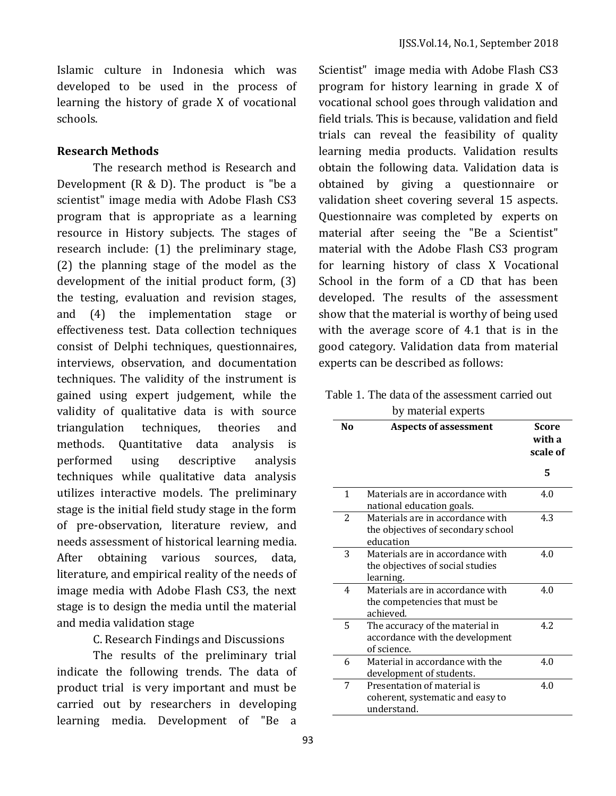Islamic culture in Indonesia which was developed to be used in the process of learning the history of grade X of vocational schools.

#### **Research Methods**

The research method is Research and Development (R & D). The product is "be a scientist" image media with Adobe Flash CS3 program that is appropriate as a learning resource in History subjects. The stages of research include: (1) the preliminary stage, (2) the planning stage of the model as the development of the initial product form, (3) the testing, evaluation and revision stages, and (4) the implementation stage or effectiveness test. Data collection techniques consist of Delphi techniques, questionnaires, interviews, observation, and documentation techniques. The validity of the instrument is gained using expert judgement, while the validity of qualitative data is with source triangulation techniques, theories and methods. Quantitative data analysis is performed using descriptive analysis techniques while qualitative data analysis utilizes interactive models. The preliminary stage is the initial field study stage in the form of pre-observation, literature review, and needs assessment of historical learning media. After obtaining various sources, data, literature, and empirical reality of the needs of image media with Adobe Flash CS3, the next stage is to design the media until the material and media validation stage

C. Research Findings and Discussions

The results of the preliminary trial indicate the following trends. The data of product trial is very important and must be carried out by researchers in developing learning media. Development of "Be a

Scientist" image media with Adobe Flash CS3 program for history learning in grade X of vocational school goes through validation and field trials. This is because, validation and field trials can reveal the feasibility of quality learning media products. Validation results obtain the following data. Validation data is obtained by giving a questionnaire or validation sheet covering several 15 aspects. Questionnaire was completed by experts on material after seeing the "Be a Scientist" material with the Adobe Flash CS3 program for learning history of class X Vocational School in the form of a CD that has been developed. The results of the assessment show that the material is worthy of being used with the average score of 4.1 that is in the good category. Validation data from material experts can be described as follows:

Table 1. The data of the assessment carried out

|                | able 1. The data of the assessment carried out                                      |                                    |  |
|----------------|-------------------------------------------------------------------------------------|------------------------------------|--|
|                | by material experts                                                                 |                                    |  |
| N <sub>0</sub> | <b>Aspects of assessment</b>                                                        | <b>Score</b><br>with a<br>scale of |  |
|                |                                                                                     | 5                                  |  |
| $\mathbf{1}$   | Materials are in accordance with<br>national education goals.                       | 4.0                                |  |
| $\overline{c}$ | Materials are in accordance with<br>the objectives of secondary school<br>education | 4.3                                |  |
| 3              | Materials are in accordance with<br>the objectives of social studies<br>learning.   | 4.0                                |  |
| 4              | Materials are in accordance with<br>the competencies that must be<br>achieved.      | 4.0                                |  |
| 5              | The accuracy of the material in<br>accordance with the development<br>of science.   | 42                                 |  |
| 6              | Material in accordance with the<br>development of students.                         | 4.0                                |  |
| 7              | Presentation of material is<br>coherent, systematic and easy to<br>understand.      | 4.0                                |  |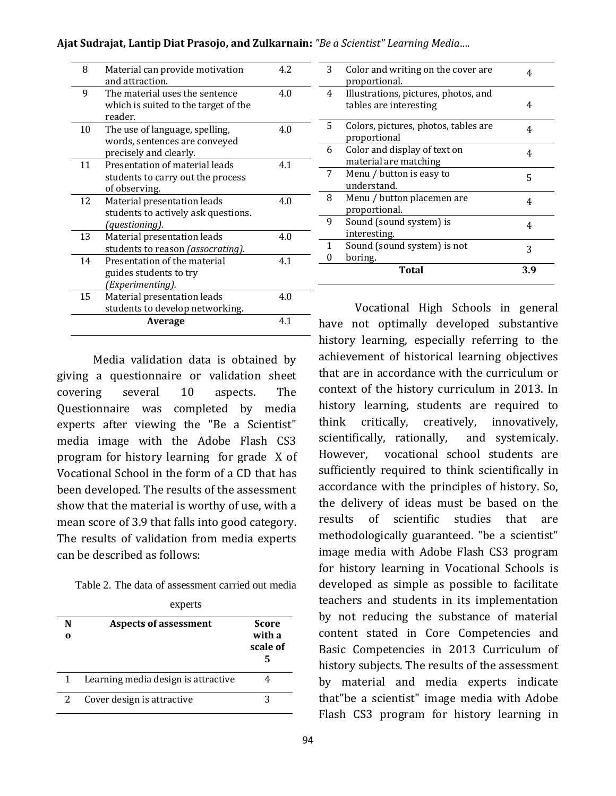| Ajat Sudrajat, Lantip Diat Prasojo, and Zulkarnain: "Be a Scientist" Learning Media |  |  |  |
|-------------------------------------------------------------------------------------|--|--|--|
|-------------------------------------------------------------------------------------|--|--|--|

| 8  | Material can provide motivation           | 4.2 |
|----|-------------------------------------------|-----|
|    | and attraction.                           |     |
| 9  | The material uses the sentence            | 4.0 |
|    | which is suited to the target of the      |     |
|    | reader.                                   |     |
| 10 | The use of language, spelling,            | 4.0 |
|    | words, sentences are conveyed             |     |
|    | precisely and clearly.                    |     |
| 11 | Presentation of material leads            | 4.1 |
|    | students to carry out the process         |     |
|    | of observing.                             |     |
| 12 | Material presentation leads               | 4.0 |
|    | students to actively ask questions.       |     |
|    | (questioning).                            |     |
| 13 | Material presentation leads               | 4.0 |
|    | students to reason <i>(assocrating)</i> . |     |
| 14 | Presentation of the material              | 41  |
|    | guides students to try                    |     |
|    | (Experimenting).                          |     |
| 15 | Material presentation leads               | 4.0 |
|    | students to develop networking.           |     |
|    | Average                                   | 41  |
|    |                                           |     |

Media validation data is obtained by giving a questionnaire or validation sheet covering several 10 aspects. The Questionnaire was completed by media experts after viewing the "Be a Scientist" media image with the Adobe Flash CS3 program for history learning for grade X of Vocational School in the form of a CD that has been developed. The results of the assessment show that the material is worthy of use, with a mean score of 3.9 that falls into good category. The results of validation from media experts can be described as follows:

Table 2. The data of assessment carried out media

| experts |
|---------|
|---------|

| N | <b>Aspects of assessment</b>        | Score<br>with a<br>scale of |
|---|-------------------------------------|-----------------------------|
|   | Learning media design is attractive |                             |
|   | Cover design is attractive          |                             |

| 3 | Color and writing on the cover are<br>proportional.            | 4   |
|---|----------------------------------------------------------------|-----|
| 4 | Illustrations, pictures, photos, and<br>tables are interesting | 4   |
| 5 | Colors, pictures, photos, tables are<br>proportional           | 4   |
| 6 | Color and display of text on<br>material are matching          | 4   |
| 7 | Menu / button is easy to<br>understand.                        | 5   |
| 8 | Menu / button placemen are<br>proportional.                    | 4   |
| 9 | Sound (sound system) is<br>interesting.                        | 4   |
| 1 | Sound (sound system) is not                                    | 3   |
|   | boring.                                                        |     |
|   | Total                                                          | 3.9 |

Vocational High Schools in general have not optimally developed substantive history learning, especially referring to the achievement of historical learning objectives that are in accordance with the curriculum or context of the history curriculum in 2013. In history learning, students are required to think critically, creatively, innovatively, scientifically, rationally, and systemicaly. However, vocational school students are sufficiently required to think scientifically in accordance with the principles of history. So, the delivery of ideas must be based on the results of scientific studies that are methodologically guaranteed. "be a scientist" image media with Adobe Flash CS3 program for history learning in Vocational Schools is developed as simple as possible to facilitate teachers and students in its implementation by not reducing the substance of material content stated in Core Competencies and Basic Competencies in 2013 Curriculum of history subjects. The results of the assessment by material and media experts indicate that"be a scientist" image media with Adobe Flash CS3 program for history learning in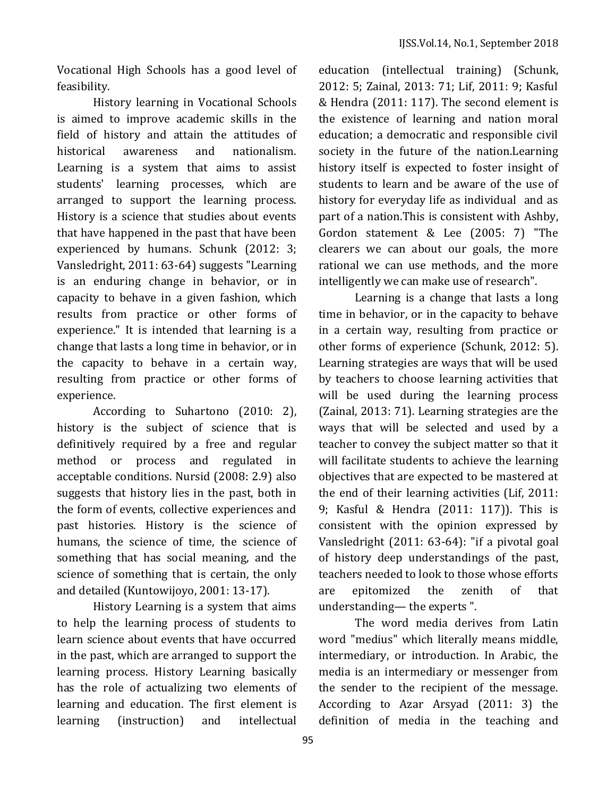Vocational High Schools has a good level of feasibility.

History learning in Vocational Schools is aimed to improve academic skills in the field of history and attain the attitudes of historical awareness and nationalism. Learning is a system that aims to assist students' learning processes, which are arranged to support the learning process. History is a science that studies about events that have happened in the past that have been experienced by humans. Schunk (2012: 3; Vansledright, 2011: 63-64) suggests "Learning is an enduring change in behavior, or in capacity to behave in a given fashion, which results from practice or other forms of experience." It is intended that learning is a change that lasts a long time in behavior, or in the capacity to behave in a certain way, resulting from practice or other forms of experience.

According to Suhartono (2010: 2), history is the subject of science that is definitively required by a free and regular method or process and regulated in acceptable conditions. Nursid (2008: 2.9) also suggests that history lies in the past, both in the form of events, collective experiences and past histories. History is the science of humans, the science of time, the science of something that has social meaning, and the science of something that is certain, the only and detailed (Kuntowijoyo, 2001: 13-17).

History Learning is a system that aims to help the learning process of students to learn science about events that have occurred in the past, which are arranged to support the learning process. History Learning basically has the role of actualizing two elements of learning and education. The first element is learning (instruction) and intellectual

education (intellectual training) (Schunk, 2012: 5; Zainal, 2013: 71; Lif, 2011: 9; Kasful & Hendra (2011: 117). The second element is the existence of learning and nation moral education; a democratic and responsible civil society in the future of the nation.Learning history itself is expected to foster insight of students to learn and be aware of the use of history for everyday life as individual and as part of a nation.This is consistent with Ashby, Gordon statement & Lee (2005: 7) "The clearers we can about our goals, the more rational we can use methods, and the more intelligently we can make use of research".

Learning is a change that lasts a long time in behavior, or in the capacity to behave in a certain way, resulting from practice or other forms of experience (Schunk, 2012: 5). Learning strategies are ways that will be used by teachers to choose learning activities that will be used during the learning process (Zainal, 2013: 71). Learning strategies are the ways that will be selected and used by a teacher to convey the subject matter so that it will facilitate students to achieve the learning objectives that are expected to be mastered at the end of their learning activities (Lif, 2011: 9; Kasful & Hendra (2011: 117)). This is consistent with the opinion expressed by Vansledright (2011: 63-64): "if a pivotal goal of history deep understandings of the past, teachers needed to look to those whose efforts are epitomized the zenith of that understanding— the experts ".

The word media derives from Latin word "medius" which literally means middle, intermediary, or introduction. In Arabic, the media is an intermediary or messenger from the sender to the recipient of the message. According to Azar Arsyad (2011: 3) the definition of media in the teaching and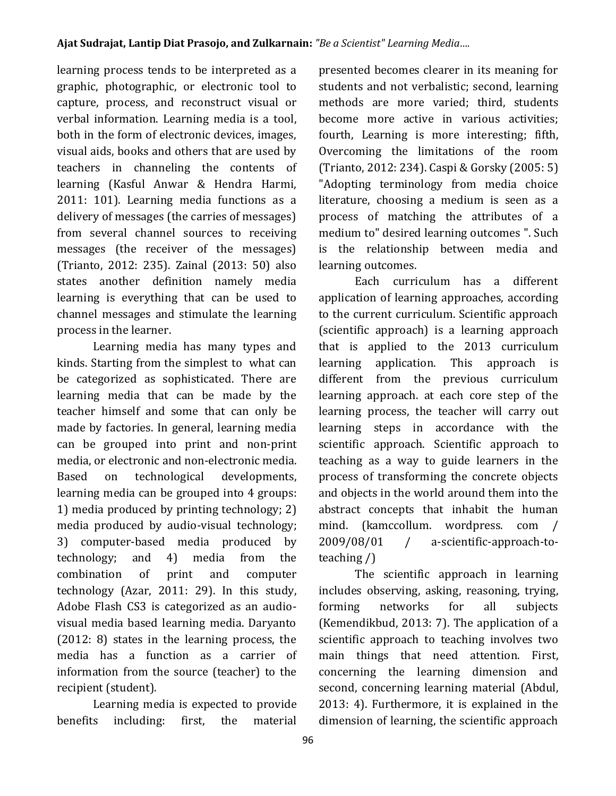learning process tends to be interpreted as a graphic, photographic, or electronic tool to capture, process, and reconstruct visual or verbal information. Learning media is a tool, both in the form of electronic devices, images, visual aids, books and others that are used by teachers in channeling the contents of learning (Kasful Anwar & Hendra Harmi, 2011: 101). Learning media functions as a delivery of messages (the carries of messages) from several channel sources to receiving messages (the receiver of the messages) (Trianto, 2012: 235). Zainal (2013: 50) also states another definition namely media learning is everything that can be used to channel messages and stimulate the learning process in the learner.

Learning media has many types and kinds. Starting from the simplest to what can be categorized as sophisticated. There are learning media that can be made by the teacher himself and some that can only be made by factories. In general, learning media can be grouped into print and non-print media, or electronic and non-electronic media. Based on technological developments, learning media can be grouped into 4 groups: 1) media produced by printing technology; 2) media produced by audio-visual technology; 3) computer-based media produced by technology; and 4) media from the combination of print and computer technology (Azar, 2011: 29). In this study, Adobe Flash CS3 is categorized as an audiovisual media based learning media. Daryanto (2012: 8) states in the learning process, the media has a function as a carrier of information from the source (teacher) to the recipient (student).

Learning media is expected to provide benefits including: first, the material presented becomes clearer in its meaning for students and not verbalistic; second, learning methods are more varied; third, students become more active in various activities; fourth, Learning is more interesting; fifth, Overcoming the limitations of the room (Trianto, 2012: 234). Caspi & Gorsky (2005: 5) "Adopting terminology from media choice literature, choosing a medium is seen as a process of matching the attributes of a medium to" desired learning outcomes ". Such is the relationship between media and learning outcomes.

Each curriculum has a different application of learning approaches, according to the current curriculum. Scientific approach (scientific approach) is a learning approach that is applied to the 2013 curriculum learning application. This approach is different from the previous curriculum learning approach. at each core step of the learning process, the teacher will carry out learning steps in accordance with the scientific approach. Scientific approach to teaching as a way to guide learners in the process of transforming the concrete objects and objects in the world around them into the abstract concepts that inhabit the human mind. (kamccollum. wordpress. com / 2009/08/01 / a-scientific-approach-toteaching /)

The scientific approach in learning includes observing, asking, reasoning, trying, forming networks for all subjects (Kemendikbud, 2013: 7). The application of a scientific approach to teaching involves two main things that need attention. First, concerning the learning dimension and second, concerning learning material (Abdul, 2013: 4). Furthermore, it is explained in the dimension of learning, the scientific approach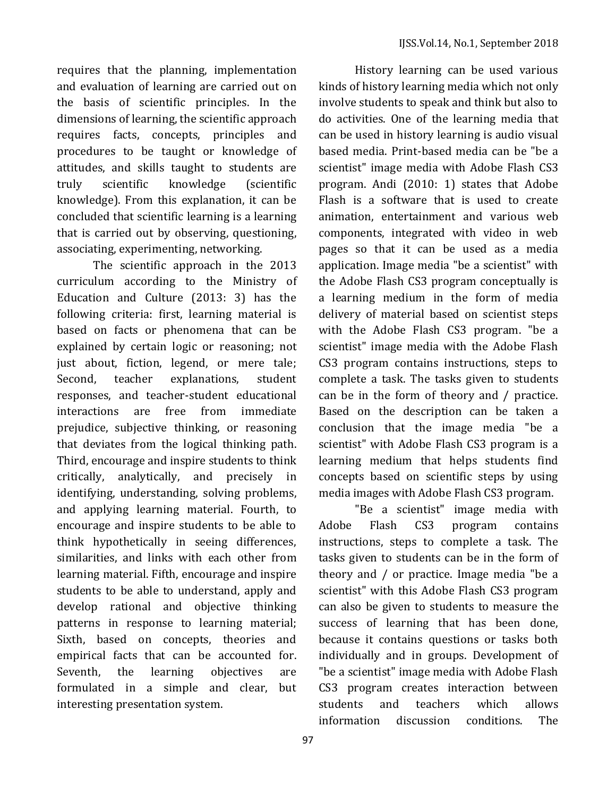requires that the planning, implementation and evaluation of learning are carried out on the basis of scientific principles. In the dimensions of learning, the scientific approach requires facts, concepts, principles and procedures to be taught or knowledge of attitudes, and skills taught to students are truly scientific knowledge (scientific knowledge). From this explanation, it can be concluded that scientific learning is a learning that is carried out by observing, questioning, associating, experimenting, networking.

The scientific approach in the 2013 curriculum according to the Ministry of Education and Culture (2013: 3) has the following criteria: first, learning material is based on facts or phenomena that can be explained by certain logic or reasoning; not just about, fiction, legend, or mere tale; Second, teacher explanations, student responses, and teacher-student educational interactions are free from immediate prejudice, subjective thinking, or reasoning that deviates from the logical thinking path. Third, encourage and inspire students to think critically, analytically, and precisely in identifying, understanding, solving problems, and applying learning material. Fourth, to encourage and inspire students to be able to think hypothetically in seeing differences, similarities, and links with each other from learning material. Fifth, encourage and inspire students to be able to understand, apply and develop rational and objective thinking patterns in response to learning material; Sixth, based on concepts, theories and empirical facts that can be accounted for. Seventh, the learning objectives are formulated in a simple and clear, but interesting presentation system.

History learning can be used various kinds of history learning media which not only involve students to speak and think but also to do activities. One of the learning media that can be used in history learning is audio visual based media. Print-based media can be "be a scientist" image media with Adobe Flash CS3 program. Andi (2010: 1) states that Adobe Flash is a software that is used to create animation, entertainment and various web components, integrated with video in web pages so that it can be used as a media application. Image media "be a scientist" with the Adobe Flash CS3 program conceptually is a learning medium in the form of media delivery of material based on scientist steps with the Adobe Flash CS3 program. "be a scientist" image media with the Adobe Flash CS3 program contains instructions, steps to complete a task. The tasks given to students can be in the form of theory and / practice. Based on the description can be taken a conclusion that the image media "be a scientist" with Adobe Flash CS3 program is a learning medium that helps students find concepts based on scientific steps by using media images with Adobe Flash CS3 program.

"Be a scientist" image media with Adobe Flash CS3 program contains instructions, steps to complete a task. The tasks given to students can be in the form of theory and / or practice. Image media "be a scientist" with this Adobe Flash CS3 program can also be given to students to measure the success of learning that has been done, because it contains questions or tasks both individually and in groups. Development of "be a scientist" image media with Adobe Flash CS3 program creates interaction between students and teachers which allows information discussion conditions. The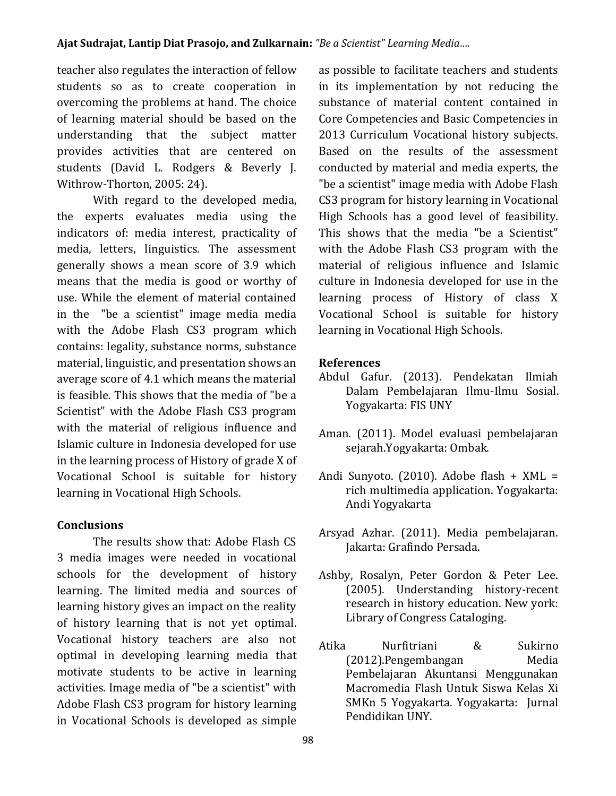teacher also regulates the interaction of fellow students so as to create cooperation in overcoming the problems at hand. The choice of learning material should be based on the understanding that the subject matter provides activities that are centered on students (David L. Rodgers & Beverly J. Withrow-Thorton, 2005: 24).

With regard to the developed media, the experts evaluates media using the indicators of: media interest, practicality of media, letters, linguistics. The assessment generally shows a mean score of 3.9 which means that the media is good or worthy of use. While the element of material contained in the "be a scientist" image media media with the Adobe Flash CS3 program which contains: legality, substance norms, substance material, linguistic, and presentation shows an average score of 4.1 which means the material is feasible. This shows that the media of "be a Scientist" with the Adobe Flash CS3 program with the material of religious influence and Islamic culture in Indonesia developed for use in the learning process of History of grade X of Vocational School is suitable for history learning in Vocational High Schools.

## **Conclusions**

The results show that: Adobe Flash CS 3 media images were needed in vocational schools for the development of history learning. The limited media and sources of learning history gives an impact on the reality of history learning that is not yet optimal. Vocational history teachers are also not optimal in developing learning media that motivate students to be active in learning activities. Image media of "be a scientist" with Adobe Flash CS3 program for history learning in Vocational Schools is developed as simple

as possible to facilitate teachers and students in its implementation by not reducing the substance of material content contained in Core Competencies and Basic Competencies in 2013 Curriculum Vocational history subjects. Based on the results of the assessment conducted by material and media experts, the "be a scientist" image media with Adobe Flash CS3 program for history learning in Vocational High Schools has a good level of feasibility. This shows that the media "be a Scientist" with the Adobe Flash CS3 program with the material of religious influence and Islamic culture in Indonesia developed for use in the learning process of History of class X Vocational School is suitable for history learning in Vocational High Schools.

### **References**

- Abdul Gafur. (2013). Pendekatan Ilmiah Dalam Pembelajaran Ilmu-Ilmu Sosial. Yogyakarta: FIS UNY
- Aman. (2011). Model evaluasi pembelajaran sejarah.Yogyakarta: Ombak.
- Andi Sunyoto. (2010). Adobe flash + XML = rich multimedia application. Yogyakarta: Andi Yogyakarta
- Arsyad Azhar. (2011). Media pembelajaran. Jakarta: Grafindo Persada.
- Ashby, Rosalyn, Peter Gordon & Peter Lee. (2005). Understanding history-recent research in history education. New york: Library of Congress Cataloging.
- Atika Nurfitriani & Sukirno (2012).Pengembangan Media Pembelajaran Akuntansi Menggunakan Macromedia Flash Untuk Siswa Kelas Xi SMKn 5 Yogyakarta. Yogyakarta: Jurnal Pendidikan UNY.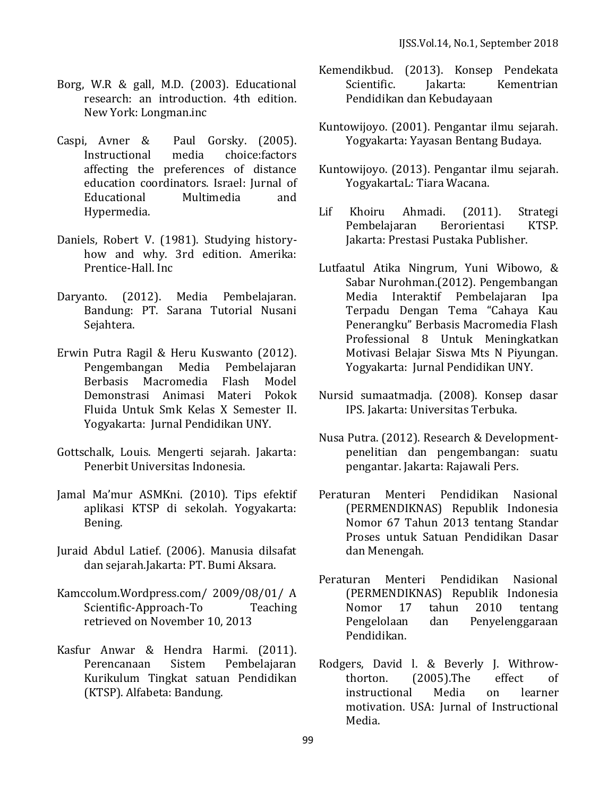- Borg, W.R & gall, M.D. (2003). Educational research: an introduction. 4th edition. New York: Longman.inc
- Caspi, Avner & Paul Gorsky. (2005). Instructional media choice:factors affecting the preferences of distance education coordinators. Israel: Jurnal of Educational Multimedia and Hypermedia.
- Daniels, Robert V. (1981). Studying historyhow and why. 3rd edition. Amerika: Prentice-Hall. Inc
- Daryanto. (2012). Media Pembelajaran. Bandung: PT. Sarana Tutorial Nusani Sejahtera.
- Erwin Putra Ragil & Heru Kuswanto (2012). Pengembangan Media Pembelajaran Berbasis Macromedia Flash Model Demonstrasi Animasi Materi Pokok Fluida Untuk Smk Kelas X Semester II. Yogyakarta: Jurnal Pendidikan UNY.
- Gottschalk, Louis. Mengerti sejarah. Jakarta: Penerbit Universitas Indonesia.
- Jamal Ma'mur ASMKni. (2010). Tips efektif aplikasi KTSP di sekolah. Yogyakarta: Bening.
- Juraid Abdul Latief. (2006). Manusia dilsafat dan sejarah.Jakarta: PT. Bumi Aksara.
- Kamccolum.Wordpress.com/ 2009/08/01/ A Scientific-Approach-To Teaching retrieved on November 10, 2013
- Kasfur Anwar & Hendra Harmi. (2011). Perencanaan Sistem Pembelajaran Kurikulum Tingkat satuan Pendidikan (KTSP). Alfabeta: Bandung.
- Kemendikbud. (2013). Konsep Pendekata Scientific. Iakarta: Kementrian Pendidikan dan Kebudayaan
- Kuntowijoyo. (2001). Pengantar ilmu sejarah. Yogyakarta: Yayasan Bentang Budaya.
- Kuntowijoyo. (2013). Pengantar ilmu sejarah. YogyakartaL: Tiara Wacana.
- Lif Khoiru Ahmadi. (2011). Strategi Pembelajaran Berorientasi KTSP. Jakarta: Prestasi Pustaka Publisher.
- Lutfaatul Atika Ningrum, Yuni Wibowo, & Sabar Nurohman.(2012). Pengembangan Media Interaktif Pembelajaran Ipa Terpadu Dengan Tema "Cahaya Kau Penerangku" Berbasis Macromedia Flash Professional 8 Untuk Meningkatkan Motivasi Belajar Siswa Mts N Piyungan. Yogyakarta: Jurnal Pendidikan UNY.
- Nursid sumaatmadja. (2008). Konsep dasar IPS. Jakarta: Universitas Terbuka.
- Nusa Putra. (2012). Research & Developmentpenelitian dan pengembangan: suatu pengantar. Jakarta: Rajawali Pers.
- Peraturan Menteri Pendidikan Nasional (PERMENDIKNAS) Republik Indonesia Nomor 67 Tahun 2013 tentang Standar Proses untuk Satuan Pendidikan Dasar dan Menengah.
- Peraturan Menteri Pendidikan Nasional (PERMENDIKNAS) Republik Indonesia Nomor 17 tahun 2010 tentang Pengelolaan dan Penyelenggaraan Pendidikan.
- Rodgers, David l. & Beverly J. Withrowthorton. (2005).The effect of instructional Media on learner motivation. USA: Jurnal of Instructional Media.